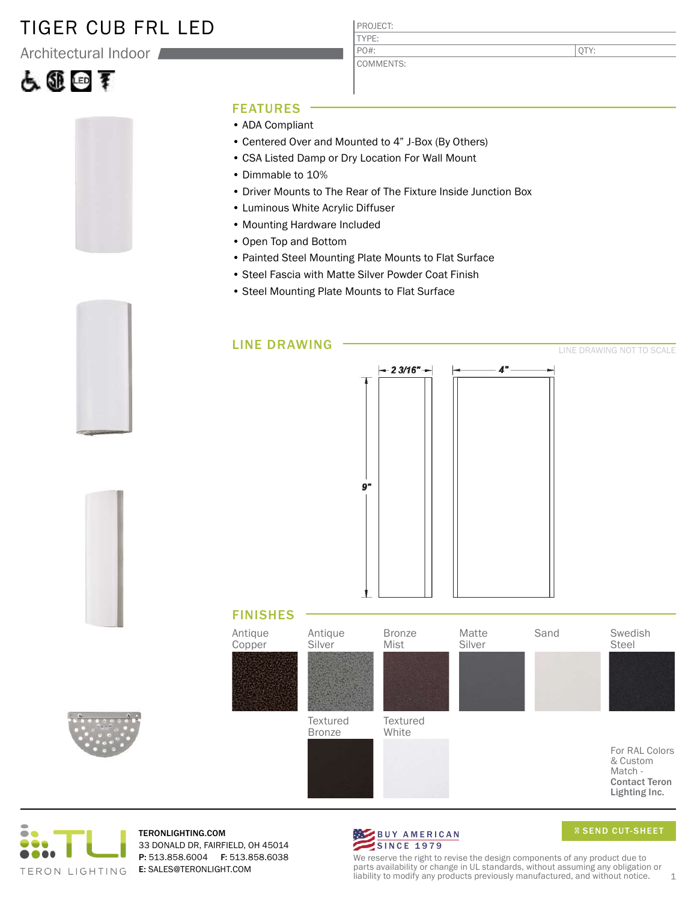#### TIGER CUB FRL LED

Architectural Indoor

# 占匪回手

PROJECT: TYPE:

COMMENTS: PO#:

QTY:



- ADA Compliant
- Centered Over and Mounted to 4" J-Box (By Others)
- CSA Listed Damp or Dry Location For Wall Mount
- Dimmable to 10%
- Driver Mounts to The Rear of The Fixture Inside Junction Box
- Luminous White Acrylic Diffuser
- Mounting Hardware Included
- Open Top and Bottom
- Painted Steel Mounting Plate Mounts to Flat Surface
- Steel Fascia with Matte Silver Powder Coat Finish
- Steel Mounting Plate Mounts to Flat Surface





TERON LIGHTING





**Textured** White

**Textured** Bronze

For RAL Colors & Custom Match - Contact Teron Lighting Inc.

We reserve the right to revise the design components of any product due to parts availability or change in UL standards, without assuming any obligation or liability to modify any products previously manufactured, and without notice. 1